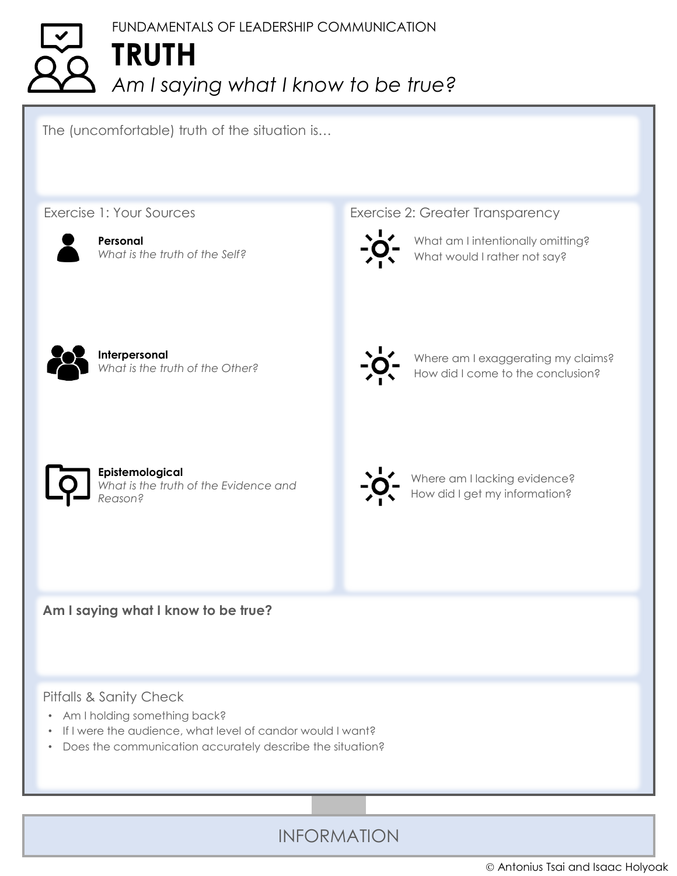## FUNDAMENTALS OF LEADERSHIP COMMUNICATION **TRUTH** *Am I saying what I know to be true?*

The (uncomfortable) truth of the situation is…

Exercise 1: Your Sources



**Personal** *What is the truth of the Self?* Exercise 2: Greater Transparency



What am I intentionally omitting? What would I rather not say?



**Interpersonal** *What is the truth of the Other?*



Where am I exaggerating my claims? How did I come to the conclusion?



**Epistemological** *What is the truth of the Evidence and Reason?*



Where am I lacking evidence? How did I get my information?

**Am I saying what I know to be true?**

## Pitfalls & Sanity Check

- Am I holding something back?
- If I were the audience, what level of candor would I want?
- Does the communication accurately describe the situation?

INFORMATION

© Antonius Tsai and Isaac Holyoak